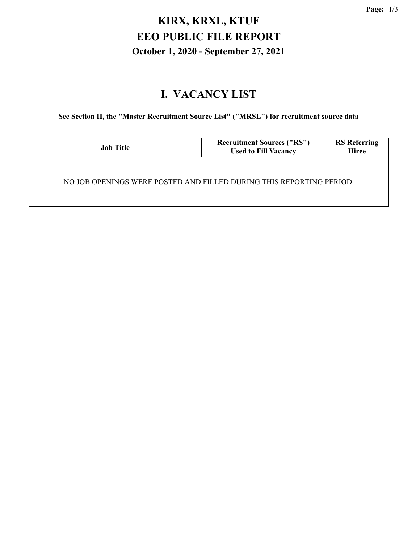# **KIRX, KRXL, KTUF EEO PUBLIC FILE REPORT October 1, 2020 - September 27, 2021**

#### **I. VACANCY LIST**

**See Section II, the "Master Recruitment Source List" ("MRSL") for recruitment source data**

| <b>Job Title</b>                                                     | <b>Recruitment Sources ("RS")</b><br><b>Used to Fill Vacancy</b> | <b>RS</b> Referring<br><b>Hiree</b> |  |  |  |
|----------------------------------------------------------------------|------------------------------------------------------------------|-------------------------------------|--|--|--|
| NO JOB OPENINGS WERE POSTED AND FILLED DURING THIS REPORTING PERIOD. |                                                                  |                                     |  |  |  |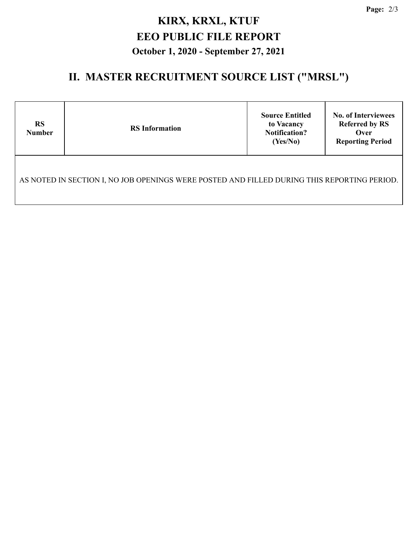## **KIRX, KRXL, KTUF EEO PUBLIC FILE REPORT October 1, 2020 - September 27, 2021**

## **II. MASTER RECRUITMENT SOURCE LIST ("MRSL")**

| <b>RS</b><br><b>Number</b>                                                                  | <b>RS</b> Information | <b>Source Entitled</b><br>to Vacancy<br><b>Notification?</b><br>(Yes/No) | <b>No. of Interviewees</b><br><b>Referred by RS</b><br>Over<br><b>Reporting Period</b> |  |  |  |  |
|---------------------------------------------------------------------------------------------|-----------------------|--------------------------------------------------------------------------|----------------------------------------------------------------------------------------|--|--|--|--|
| AS NOTED IN SECTION I, NO JOB OPENINGS WERE POSTED AND FILLED DURING THIS REPORTING PERIOD. |                       |                                                                          |                                                                                        |  |  |  |  |